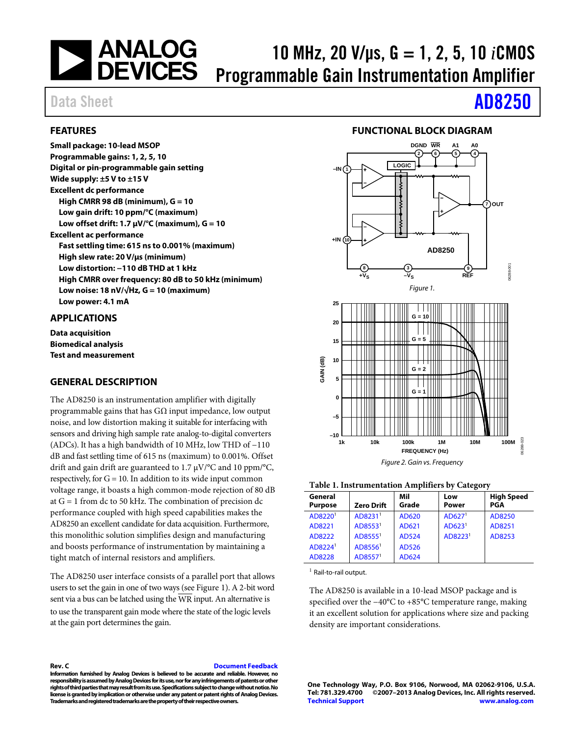

**Digital or pin-programmable gain setting**

**High CMRR 98 dB (minimum), G = 10 Low gain drift: 10 ppm/°C (maximum) Low offset drift: 1.7 μV/°C (maximum), G = 10**

**High slew rate: 20 V/µs (minimum) Low distortion: −110 dB THD at 1 kHz**

**Low noise: 18 nV/√Hz, G = 10 (maximum)**

**Fast settling time: 615 ns to 0.001% (maximum)**

**High CMRR over frequency: 80 dB to 50 kHz (minimum)**

The AD8250 is an instrumentation amplifier with digitally programmable gains that has GΩ input impedance, low output noise, and low distortion making it suitable for interfacing with sensors and driving high sample rate analog-to-digital converters (ADCs). It has a high bandwidth of 10 MHz, low THD of −110 dB and fast settling time of 615 ns (maximum) to 0.001%. Offset drift and gain drift are guaranteed to 1.7 μV/°C and 10 ppm/°C, respectively, for  $G = 10$ . In addition to its wide input common voltage range, it boasts a high common-mode rejection of 80 dB at G = 1 from dc to 50 kHz. The combination of precision dc performance coupled with high speed capabilities makes the AD8250 an excellent candidate for data acquisition. Furthermore, this monolithic solution simplifies design and manufacturing and boosts performance of instrumentation by maintaining a

tight match of internal resistors and amplifiers.

at the gain port determines the gain.

# 10 MHz, 20 V/μs, G = 1, 2, 5, 10 *i*CMOS Programmable Gain Instrumentation Amplifier

**Small package: 10-lead MSOP Programmable gains: 1, 2, 5, 10**

**Wide supply: ±5 V to ±15 V Excellent dc performance**

**Excellent ac performance**

**Low power: 4.1 mA**

<span id="page-0-3"></span>**GENERAL DESCRIPTION**

<span id="page-0-2"></span>**APPLICATIONS Data acquisition Biomedical analysis Test and measurement**

<span id="page-0-1"></span>**FEATURES**

# Data Sheet **[AD8250](http://www.analog.com/AD8250?doc=AD8250.pdf)**

#### **FUNCTIONAL BLOCK DIAGRAM**

<span id="page-0-4"></span><span id="page-0-0"></span>

#### **Table 1. Instrumentation Amplifiers by Category**

| General<br><b>Purpose</b> | <b>Zero Drift</b>   | Mil<br>Grade | Low<br>Power        | <b>High Speed</b><br>PGA |
|---------------------------|---------------------|--------------|---------------------|--------------------------|
| AD8220 <sup>1</sup>       | AD8231 <sup>1</sup> | AD620        | AD627 <sup>1</sup>  | AD8250                   |
| AD8221                    | AD8553 <sup>1</sup> | AD621        | AD623 <sup>1</sup>  | AD8251                   |
| AD8222                    | AD8555 <sup>1</sup> | <b>AD524</b> | AD8223 <sup>1</sup> | AD8253                   |
| AD8224 <sup>1</sup>       | AD8556 <sup>1</sup> | AD526        |                     |                          |
| AD8228                    | AD8557 <sup>1</sup> | AD624        |                     |                          |

 $<sup>1</sup>$  Rail-to-rail output.</sup>

The AD8250 is available in a 10-lead MSOP package and is specified over the −40°C to +85°C temperature range, making it an excellent solution for applications where size and packing density are important considerations.

**Rev. C [Document Feedback](https://form.analog.com/Form_Pages/feedback/documentfeedback.aspx?doc=AD8250.pdf&product=AD8250&rev=C) Information furnished by Analog Devices is believed to be accurate and reliable. However, no** 

The AD8250 user interface consists of a parallel port that allows users to set the gain in one of two ways (se[e Figure 1\)](#page-0-0). A 2-bit word sent via a bus can be latched using the  $\overline{WR}$  input. An alternative is to use the transparent gain mode where the state of the logic levels

**responsibility is assumed by Analog Devices for its use, nor for anyinfringements of patents or other rights of third parties that may result from its use. Specifications subject to change without notice. No license is granted by implication or otherwise under any patent or patent rights of Analog Devices. Trademarks and registered trademarks are the property of their respective owners.**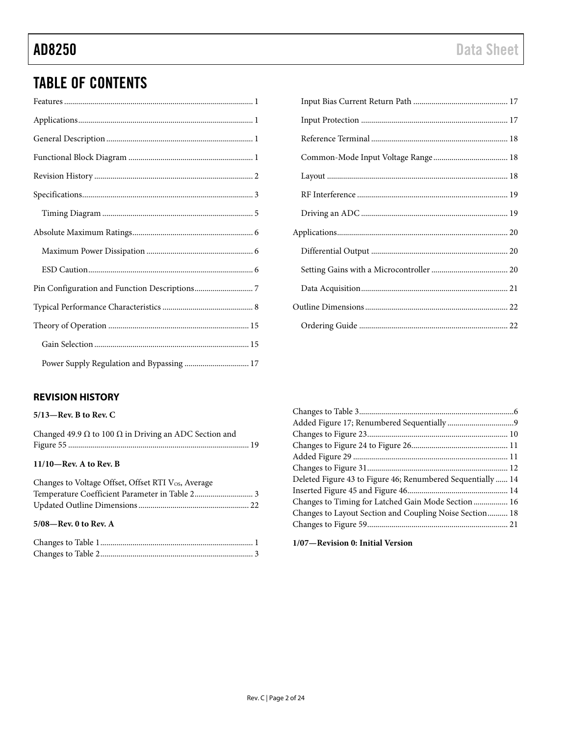# TABLE OF CONTENTS

### <span id="page-1-0"></span>**REVISION HISTORY**

#### **5/13—Rev. B to Rev. C**

| Changed 49.9 $\Omega$ to 100 $\Omega$ in Driving an ADC Section and |  |
|---------------------------------------------------------------------|--|
|                                                                     |  |
| $11/10$ —Rev. A to Rev. B                                           |  |
|                                                                     |  |

| Changes to Voltage Offset, Offset RTI Vos, Average |  |
|----------------------------------------------------|--|
|                                                    |  |
|                                                    |  |
|                                                    |  |

### **5/08—Rev. 0 to Rev. A**

| Deleted Figure 43 to Figure 46; Renumbered Sequentially  14 |  |
|-------------------------------------------------------------|--|
|                                                             |  |
| Changes to Timing for Latched Gain Mode Section  16         |  |
| Changes to Layout Section and Coupling Noise Section 18     |  |
|                                                             |  |
|                                                             |  |

**1/07—Revision 0: Initial Version**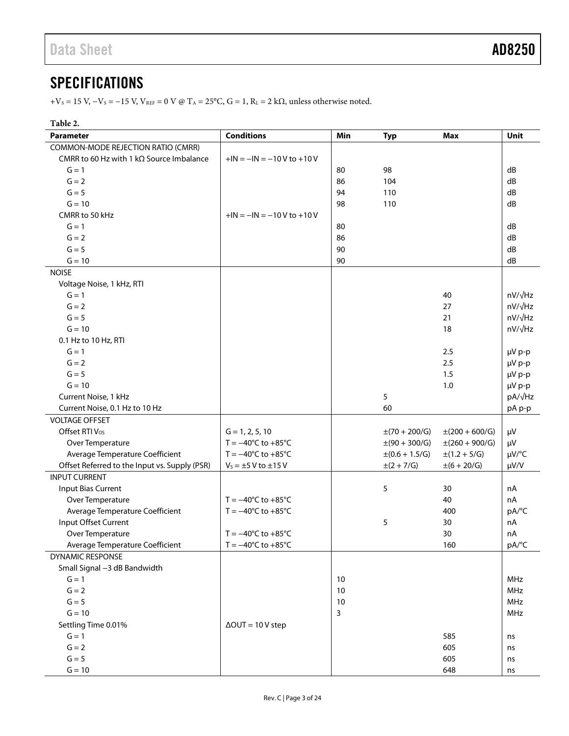## <span id="page-2-0"></span>**SPECIFICATIONS**

 $+V_S = 15$  V,  $-V_S = -15$  V,  $V_{REF} = 0$  V @ T<sub>A</sub> = 25°C, G = 1, R<sub>L</sub> = 2 k $\Omega$ , unless otherwise noted.

<span id="page-2-1"></span>

| Table 2.                                         |                                      |     |                          |                           |                |
|--------------------------------------------------|--------------------------------------|-----|--------------------------|---------------------------|----------------|
| <b>Parameter</b>                                 | <b>Conditions</b>                    | Min | <b>Typ</b>               | <b>Max</b>                | Unit           |
| COMMON-MODE REJECTION RATIO (CMRR)               |                                      |     |                          |                           |                |
| CMRR to 60 Hz with 1 k $\Omega$ Source Imbalance | $+IN = -IN = -10V$ to $+10V$         |     |                          |                           |                |
| $G = 1$                                          |                                      | 80  | 98                       |                           | dB             |
| $G = 2$                                          |                                      | 86  | 104                      |                           | dB             |
| $G = 5$                                          |                                      | 94  | 110                      |                           | dB             |
| $G = 10$                                         |                                      | 98  | 110                      |                           | dB             |
| CMRR to 50 kHz                                   | $+IN = -IN = -10V$ to $+10V$         |     |                          |                           |                |
| $G = 1$                                          |                                      | 80  |                          |                           | dB             |
| $G = 2$                                          |                                      | 86  |                          |                           | dB             |
| $G = 5$                                          |                                      | 90  |                          |                           | dB             |
| $G = 10$                                         |                                      | 90  |                          |                           | dB             |
| <b>NOISE</b>                                     |                                      |     |                          |                           |                |
| Voltage Noise, 1 kHz, RTI                        |                                      |     |                          |                           |                |
| $G = 1$                                          |                                      |     |                          | 40                        | $nV/\sqrt{Hz}$ |
| $G = 2$                                          |                                      |     |                          | 27                        | $nV/\sqrt{Hz}$ |
| $G = 5$                                          |                                      |     |                          | 21                        | $nV/\sqrt{Hz}$ |
| $G = 10$                                         |                                      |     |                          | 18                        | nV/√Hz         |
| 0.1 Hz to 10 Hz, RTI                             |                                      |     |                          |                           |                |
| $G = 1$                                          |                                      |     |                          | 2.5                       | µV p-p         |
| $G = 2$                                          |                                      |     |                          | 2.5                       | µV p-p         |
| $G = 5$                                          |                                      |     |                          | 1.5                       | µV p-p         |
| $G = 10$                                         |                                      |     |                          | 1.0                       | µV p-p         |
| Current Noise, 1 kHz                             |                                      |     | 5                        |                           | pA/√Hz         |
| Current Noise, 0.1 Hz to 10 Hz                   |                                      |     | 60                       |                           | pA p-p         |
| <b>VOLTAGE OFFSET</b>                            |                                      |     |                          |                           |                |
| Offset RTI V <sub>os</sub>                       | $G = 1, 2, 5, 10$                    |     | $\pm(70 + 200/\text{G})$ | $\pm(200 + 600/\text{G})$ | μV             |
| Over Temperature                                 | $T = -40^{\circ}C$ to $+85^{\circ}C$ |     | $\pm(90 + 300/\text{G})$ | $\pm(260 + 900/\text{G})$ | μV             |
| Average Temperature Coefficient                  | $T = -40^{\circ}C$ to $+85^{\circ}C$ |     | $\pm (0.6 + 1.5/G)$      | $\pm(1.2 + 5/G)$          | µV/°C          |
| Offset Referred to the Input vs. Supply (PSR)    | $V_s = \pm 5$ V to $\pm 15$ V        |     | $\pm (2 + 7/G)$          | $\pm (6 + 20/G)$          | µV/V           |
| <b>INPUT CURRENT</b>                             |                                      |     |                          |                           |                |
| <b>Input Bias Current</b>                        |                                      |     | 5                        | 30                        | nA             |
| Over Temperature                                 | $T = -40^{\circ}C$ to $+85^{\circ}C$ |     |                          | 40                        | nA             |
| Average Temperature Coefficient                  | $T = -40^{\circ}C$ to $+85^{\circ}C$ |     |                          | 400                       | pA/°C          |
| Input Offset Current                             |                                      |     | 5                        | 30                        | nA             |
| Over Temperature                                 | $T = -40^{\circ}C$ to $+85^{\circ}C$ |     |                          | 30                        | nA             |
| Average Temperature Coefficient                  | $T = -40^{\circ}C$ to $+85^{\circ}C$ |     |                          | 160                       | pA/°C          |
| DYNAMIC RESPONSE                                 |                                      |     |                          |                           |                |
| Small Signal -3 dB Bandwidth                     |                                      |     |                          |                           |                |
| $G = 1$                                          |                                      | 10  |                          |                           | <b>MHz</b>     |
| $G = 2$                                          |                                      | 10  |                          |                           | MHz            |
| $G = 5$                                          |                                      | 10  |                          |                           | MHz            |
| $G = 10$                                         |                                      | 3   |                          |                           | MHz            |
| Settling Time 0.01%                              | $\Delta$ OUT = 10 V step             |     |                          |                           |                |
| $G = 1$                                          |                                      |     |                          | 585                       | ns             |
| $G = 2$                                          |                                      |     |                          | 605                       | ns             |
| $G = 5$                                          |                                      |     |                          | 605                       | ns             |
| $G = 10$                                         |                                      |     |                          | 648                       | ns             |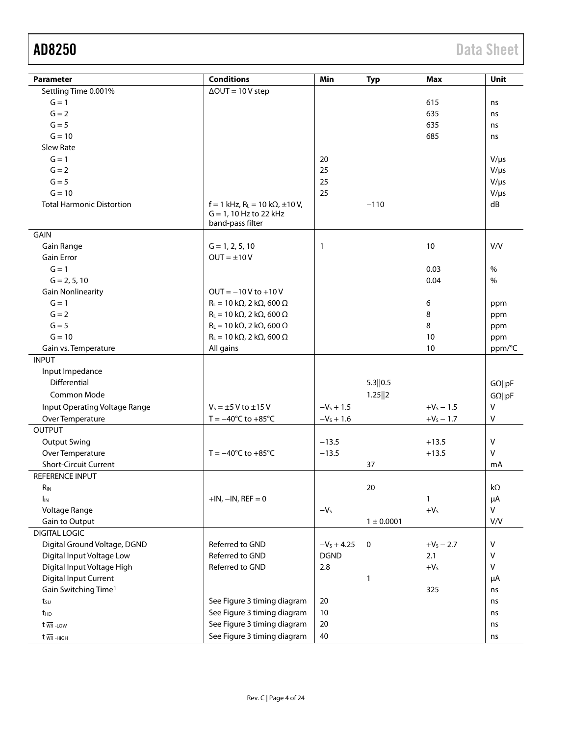| Parameter                        | <b>Conditions</b>                                                                            | Min          | <b>Typ</b>     | <b>Max</b>   | Unit           |
|----------------------------------|----------------------------------------------------------------------------------------------|--------------|----------------|--------------|----------------|
|                                  | $\Delta$ OUT = 10 V step                                                                     |              |                |              |                |
| Settling Time 0.001%<br>$G = 1$  |                                                                                              |              |                | 615          |                |
| $G = 2$                          |                                                                                              |              |                |              | ns             |
| $G = 5$                          |                                                                                              |              |                | 635          | ns             |
|                                  |                                                                                              |              |                | 635          | ns             |
| $G = 10$                         |                                                                                              |              |                | 685          | ns             |
| <b>Slew Rate</b>                 |                                                                                              |              |                |              |                |
| $G = 1$                          |                                                                                              | 20           |                |              | $V/\mu s$      |
| $G = 2$                          |                                                                                              | 25           |                |              | $V/\mu s$      |
| $G = 5$                          |                                                                                              | 25           |                |              | $V/\mu s$      |
| $G = 10$                         |                                                                                              | 25           |                |              | $V/\mu s$      |
| <b>Total Harmonic Distortion</b> | $f = 1$ kHz, R <sub>L</sub> = 10 kΩ, ±10 V,<br>$G = 1$ , 10 Hz to 22 kHz<br>band-pass filter |              | $-110$         |              | dB             |
| <b>GAIN</b>                      |                                                                                              |              |                |              |                |
| Gain Range                       | $G = 1, 2, 5, 10$                                                                            | 1            |                | 10           | V/V            |
| <b>Gain Error</b>                | $OUT = ±10V$                                                                                 |              |                |              |                |
| $G = 1$                          |                                                                                              |              |                | 0.03         | %              |
| $G = 2, 5, 10$                   |                                                                                              |              |                | 0.04         | %              |
| <b>Gain Nonlinearity</b>         | $OUT = -10V$ to +10V                                                                         |              |                |              |                |
| $G = 1$                          | $R_L = 10 \text{ k}\Omega$ , 2 k $\Omega$ , 600 $\Omega$                                     |              |                | 6            | ppm            |
| $G = 2$                          | $R_L = 10 \text{ k}\Omega$ , 2 k $\Omega$ , 600 $\Omega$                                     |              |                | 8            | ppm            |
| $G = 5$                          | $R_L = 10 \text{ k}\Omega$ , 2 k $\Omega$ , 600 $\Omega$                                     |              |                | 8            | ppm            |
| $G = 10$                         | $R_L = 10 k\Omega$ , 2 k $\Omega$ , 600 $\Omega$                                             |              |                | 10           | ppm            |
| Gain vs. Temperature             | All gains                                                                                    |              |                | 10           | ppm/°C         |
| <b>INPUT</b>                     |                                                                                              |              |                |              |                |
| Input Impedance                  |                                                                                              |              |                |              |                |
| <b>Differential</b>              |                                                                                              |              | 5.3  0.5       |              | $G\Omega$   pF |
| Common Mode                      |                                                                                              |              | 1.25  2        |              | $G\Omega$   pF |
|                                  | $V_s = \pm 5$ V to $\pm 15$ V                                                                | $-V_s + 1.5$ |                | $+V_s - 1.5$ | V              |
| Input Operating Voltage Range    |                                                                                              |              |                |              |                |
| Over Temperature                 | $T = -40^{\circ}C$ to $+85^{\circ}C$                                                         | $-VS + 1.6$  |                | $+V_s - 1.7$ | V              |
| <b>OUTPUT</b>                    |                                                                                              |              |                |              |                |
| <b>Output Swing</b>              |                                                                                              | $-13.5$      |                | $+13.5$      | $\mathsf{V}$   |
| Over Temperature                 | $T = -40^{\circ}C$ to $+85^{\circ}C$                                                         | $-13.5$      |                | $+13.5$      | $\mathsf{V}$   |
| <b>Short-Circuit Current</b>     |                                                                                              |              | 37             |              | mA             |
| REFERENCE INPUT                  |                                                                                              |              |                |              |                |
| <b>R</b> <sub>IN</sub>           |                                                                                              |              | 20             |              | kΩ             |
| I <sub>IN</sub>                  | $+IN, -IN, REF = 0$                                                                          |              |                | 1            | μA             |
| Voltage Range                    |                                                                                              | $-VS$        |                | $+VS$        | V              |
| Gain to Output                   |                                                                                              |              | $1 \pm 0.0001$ |              | V/V            |
| <b>DIGITAL LOGIC</b>             |                                                                                              |              |                |              |                |
| Digital Ground Voltage, DGND     | Referred to GND                                                                              | $-Vs + 4.25$ | 0              | $+V_S - 2.7$ | V              |
| Digital Input Voltage Low        | Referred to GND                                                                              | <b>DGND</b>  |                | 2.1          | V              |
| Digital Input Voltage High       | Referred to GND                                                                              | 2.8          |                | $+VS$        | v              |
| <b>Digital Input Current</b>     |                                                                                              |              | $\mathbf{1}$   |              | μA             |
| Gain Switching Time <sup>1</sup> |                                                                                              |              |                | 325          | ns             |
| tsu                              | See Figure 3 timing diagram                                                                  | 20           |                |              | ns             |
| t <sub>HD</sub>                  | See Figure 3 timing diagram                                                                  | $10\,$       |                |              | ns             |
| $t \overline{w}$ -Low            | See Figure 3 timing diagram                                                                  | 20           |                |              | ns             |
| $t \overline{\text{WR}}$ -HIGH   | See Figure 3 timing diagram                                                                  | 40           |                |              | ns             |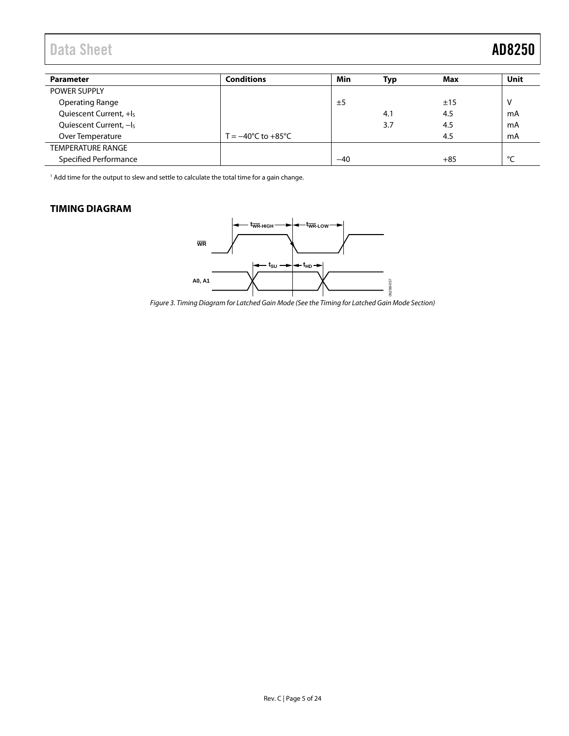## Data Sheet **AD8250**

| <b>Parameter</b>                   | <b>Conditions</b>                      | Min   | Typ | Max   | Unit |
|------------------------------------|----------------------------------------|-------|-----|-------|------|
| <b>POWER SUPPLY</b>                |                                        |       |     |       |      |
| <b>Operating Range</b>             |                                        | ±5    |     | ±15   | v    |
| Quiescent Current, +I <sub>s</sub> |                                        |       | 4.1 | 4.5   | mA   |
| Quiescent Current, -Is             |                                        |       | 3.7 | 4.5   | mA   |
| Over Temperature                   | T = $-40^{\circ}$ C to $+85^{\circ}$ C |       |     | 4.5   | mA   |
| <b>TEMPERATURE RANGE</b>           |                                        |       |     |       |      |
| <b>Specified Performance</b>       |                                        | $-40$ |     | $+85$ | ۰    |

<span id="page-4-2"></span>1 Add time for the output to slew and settle to calculate the total time for a gain change.

### <span id="page-4-1"></span><span id="page-4-0"></span>**TIMING DIAGRAM**



Figure 3. Timing Diagram for Latched Gain Mode (See th[e Timing for Latched Gain Mode S](#page-15-0)ection)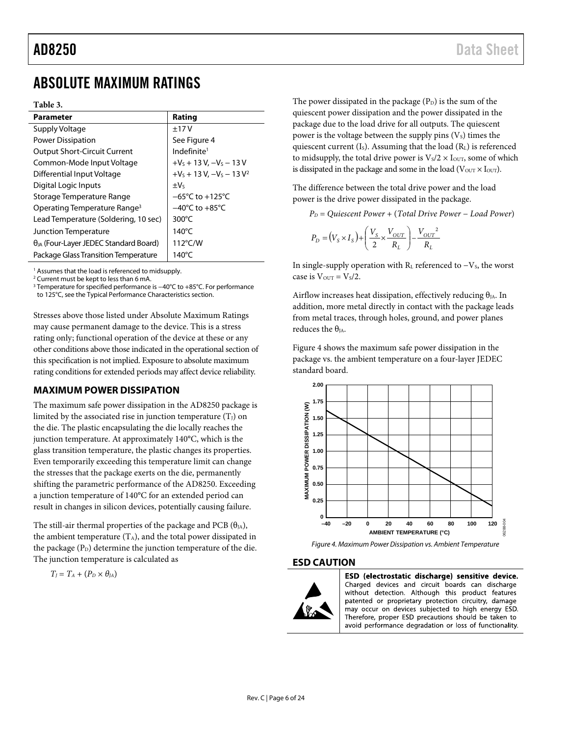# AD8250 Data Sheet

## <span id="page-5-0"></span>ABSOLUTE MAXIMUM RATINGS

#### **Table 3.**

| <b>Parameter</b>                                | Rating                              |
|-------------------------------------------------|-------------------------------------|
| Supply Voltage                                  | ±17V                                |
| <b>Power Dissipation</b>                        | See Figure 4                        |
| <b>Output Short-Circuit Current</b>             | Indefinite <sup>1</sup>             |
| Common-Mode Input Voltage                       | $+V_s + 13 V, -V_s - 13 V$          |
| Differential Input Voltage                      | $+V_s + 13 V$ , $-V_s - 13 V^2$     |
| Digital Logic Inputs                            | $\pm V_5$                           |
| Storage Temperature Range                       | $-65^{\circ}$ C to $+125^{\circ}$ C |
| Operating Temperature Range <sup>3</sup>        | $-40^{\circ}$ C to $+85^{\circ}$ C  |
| Lead Temperature (Soldering, 10 sec)            | 300 $\degree$ C                     |
| Junction Temperature                            | 140 $\degree$ C                     |
| $\theta_{JA}$ (Four-Layer JEDEC Standard Board) | $112^{\circ}$ C/W                   |
| Package Glass Transition Temperature            | 140°C                               |

<sup>1</sup> Assumes that the load is referenced to midsupply.

<sup>2</sup> Current must be kept to less than 6 mA.

<sup>3</sup> Temperature for specified performance is −40°C to +85°C. For performance to 125°C, see th[e Typical Performance Characteristics](#page-7-0) section.

Stresses above those listed under Absolute Maximum Ratings may cause permanent damage to the device. This is a stress rating only; functional operation of the device at these or any other conditions above those indicated in the operational section of this specification is not implied. Exposure to absolute maximum rating conditions for extended periods may affect device reliability.

### <span id="page-5-1"></span>**MAXIMUM POWER DISSIPATION**

The maximum safe power dissipation in the AD8250 package is limited by the associated rise in junction temperature  $(T<sub>J</sub>)$  on the die. The plastic encapsulating the die locally reaches the junction temperature. At approximately 140°C, which is the glass transition temperature, the plastic changes its properties. Even temporarily exceeding this temperature limit can change the stresses that the package exerts on the die, permanently shifting the parametric performance of the AD8250. Exceeding a junction temperature of 140°C for an extended period can result in changes in silicon devices, potentially causing failure.

The still-air thermal properties of the package and PCB  $(\theta_{JA})$ , the ambient temperature  $(T_A)$ , and the total power dissipated in the package  $(P_D)$  determine the junction temperature of the die. The junction temperature is calculated as

$$
T_J = T_A + (P_D \times \theta_{JA})
$$

The power dissipated in the package  $(P_D)$  is the sum of the quiescent power dissipation and the power dissipated in the package due to the load drive for all outputs. The quiescent power is the voltage between the supply pins  $(V_s)$  times the quiescent current  $(I<sub>S</sub>)$ . Assuming that the load  $(R<sub>L</sub>)$  is referenced to midsupply, the total drive power is  $V<sub>S</sub>/2 \times I<sub>OUT</sub>$ , some of which is dissipated in the package and some in the load ( $V<sub>OUT</sub> × I<sub>OUT</sub>$ ).

The difference between the total drive power and the load power is the drive power dissipated in the package.

*PD* = *Quiescent Power* + (*Total Drive Power* − *Load Power*)

$$
P_D = (V_s \times I_s) + \left(\frac{V_s}{2} \times \frac{V_{OUT}}{R_L}\right) - \frac{V_{OUT}^2}{R_L}
$$

In single-supply operation with  $R<sub>L</sub>$  referenced to  $-V<sub>S</sub>$ , the worst case is  $V_{\text{OUT}} = V_s/2$ .

Airflow increases heat dissipation, effectively reducing  $\theta_{JA}$ . In addition, more metal directly in contact with the package leads from metal traces, through holes, ground, and power planes reduces the  $\theta_{IA}$ .

[Figure 4](#page-5-3) shows the maximum safe power dissipation in the package vs. the ambient temperature on a four-layer JEDEC standard board.



<span id="page-5-3"></span>

#### <span id="page-5-2"></span>**ESD CAUTION**



ESD (electrostatic discharge) sensitive device. Charged devices and circuit boards can discharge without detection. Although this product features patented or proprietary protection circuitry, damage may occur on devices subjected to high energy ESD. Therefore, proper ESD precautions should be taken to avoid performance degradation or loss of functionality.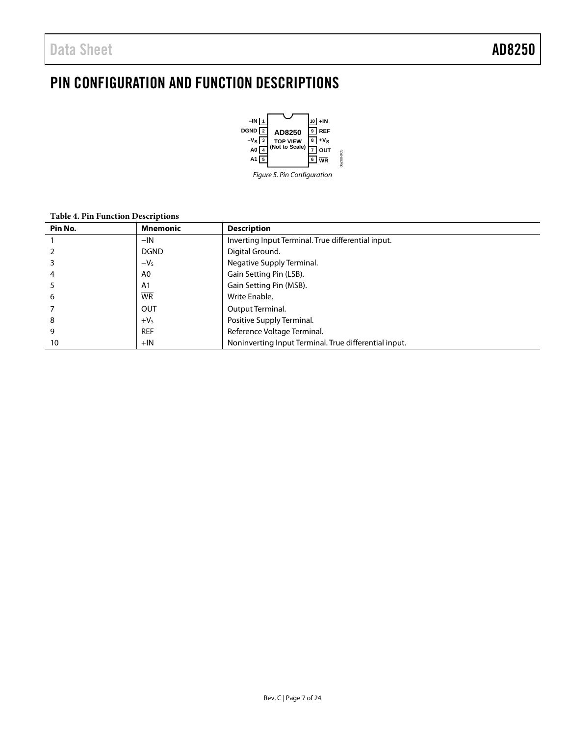# <span id="page-6-0"></span>PIN CONFIGURATION AND FUNCTION DESCRIPTIONS



#### **Table 4. Pin Function Descriptions**

| Pin No. | <b>Mnemonic</b> | <b>Description</b>                                    |
|---------|-----------------|-------------------------------------------------------|
|         | $-IN$           | Inverting Input Terminal. True differential input.    |
|         | <b>DGND</b>     | Digital Ground.                                       |
|         | $-VS$           | Negative Supply Terminal.                             |
| 4       | A0              | Gain Setting Pin (LSB).                               |
|         | A1              | Gain Setting Pin (MSB).                               |
| 6       | <b>WR</b>       | Write Enable.                                         |
|         | OUT             | Output Terminal.                                      |
| 8       | $+VS$           | Positive Supply Terminal.                             |
| 9       | <b>REF</b>      | Reference Voltage Terminal.                           |
| 10      | $+IN$           | Noninverting Input Terminal. True differential input. |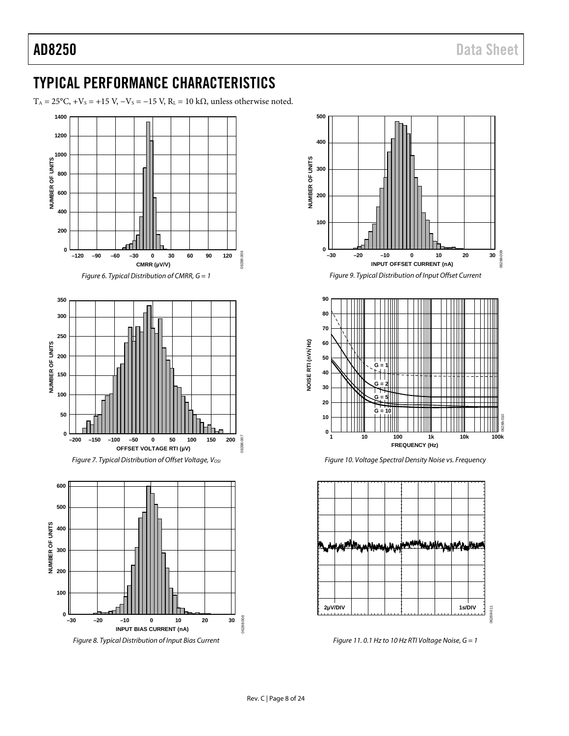## <span id="page-7-0"></span>TYPICAL PERFORMANCE CHARACTERISTICS

T<sub>A</sub> = 25°C, +V<sub>S</sub> = +15 V, -V<sub>S</sub> = -15 V, R<sub>L</sub> = 10 k $\Omega$ , unless otherwise noted.





Figure 9. Typical Distribution of Input Offset Current



Figure 10. Voltage Spectral Density Noise vs. Frequency



Figure 11.0.1 Hz to 10 Hz RTI Voltage Noise,  $G = 1$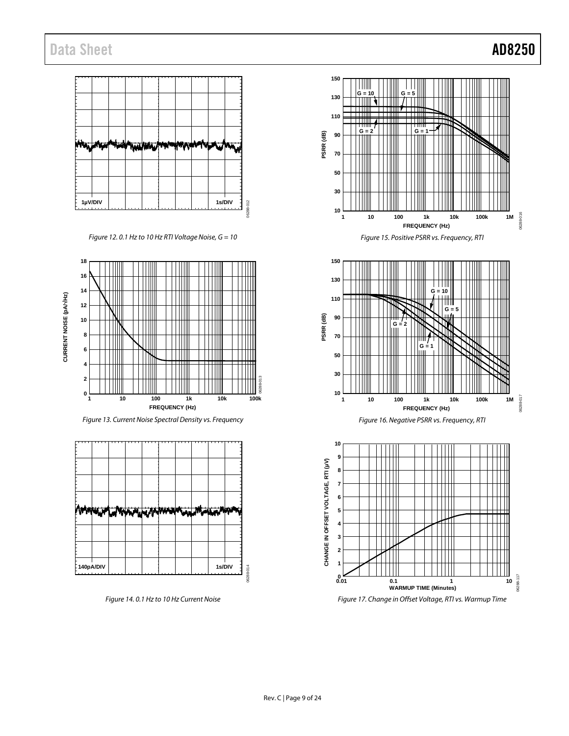## Data Sheet **AD8250**



*Figure 12. 0.1 Hz to 10 Hz RTI Voltage Noise, G = 10*















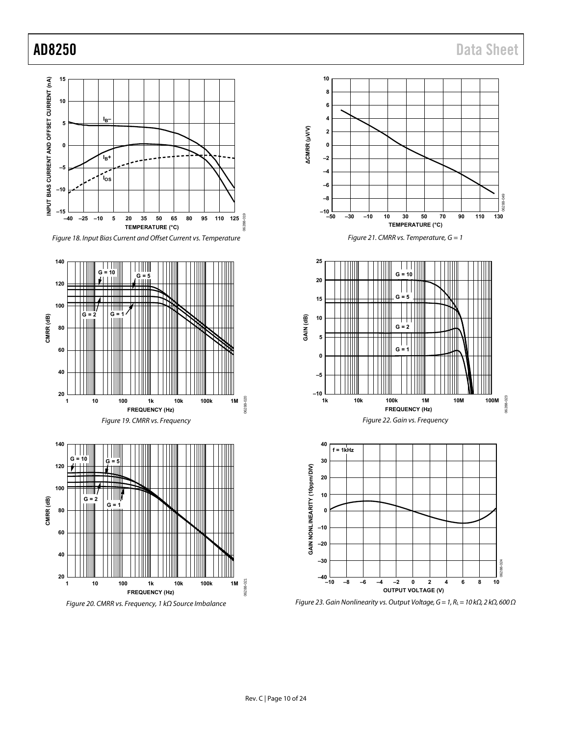06288-023

06288-023

06288-024



Figure 23. Gain Nonlinearity vs. Output Voltage, G = 1, R<sub>L</sub> = 10 k $\Omega$ , 2 k $\Omega$ , 600  $\Omega$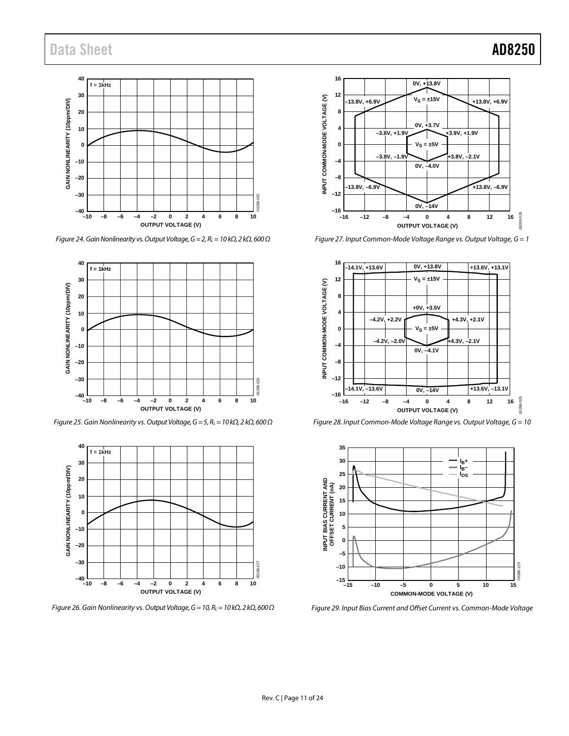

*Figure 24. Gain Nonlinearity vs. Output Voltage, G = 2, RL= 10 kΩ, 2 kΩ, 600 Ω*



*Figure 25. Gain Nonlinearity vs. Output Voltage, G = 5, RL= 10 kΩ, 2 kΩ, 600 Ω* 



*Figure 26. Gain Nonlinearity vs. Output Voltage, G = 10, RL= 10 kΩ, 2 kΩ, 600 Ω*



<span id="page-10-0"></span>*Figure 27. Input Common-Mode Voltage Range vs. Output Voltage, G = 1*



<span id="page-10-1"></span>*Figure 28. Input Common-Mode Voltage Range vs. Output Voltage, G = 10* 



*Figure 29. Input Bias Current and Offset Current vs. Common-Mode Voltage*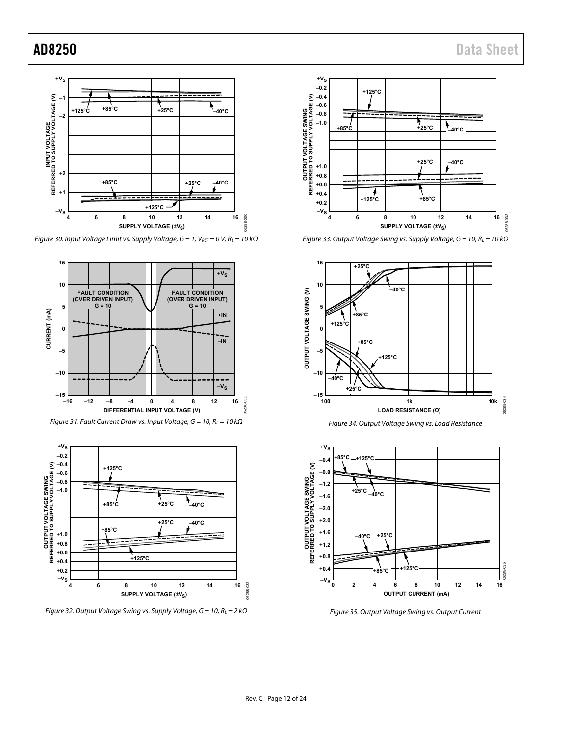

Figure 30. Input Voltage Limit vs. Supply Voltage,  $G = 1$ , VREF = 0 V, RL = 10 k $\Omega$ 







Figure 32. Output Voltage Swing vs. Supply Voltage,  $G = 10$ ,  $R_L = 2$  k $\Omega$ 



Figure 33. Output Voltage Swing vs. Supply Voltage,  $G = 10$ ,  $R_L = 10$  k $\Omega$ 







Figure 35. Output Voltage Swing vs. Output Current

06288-031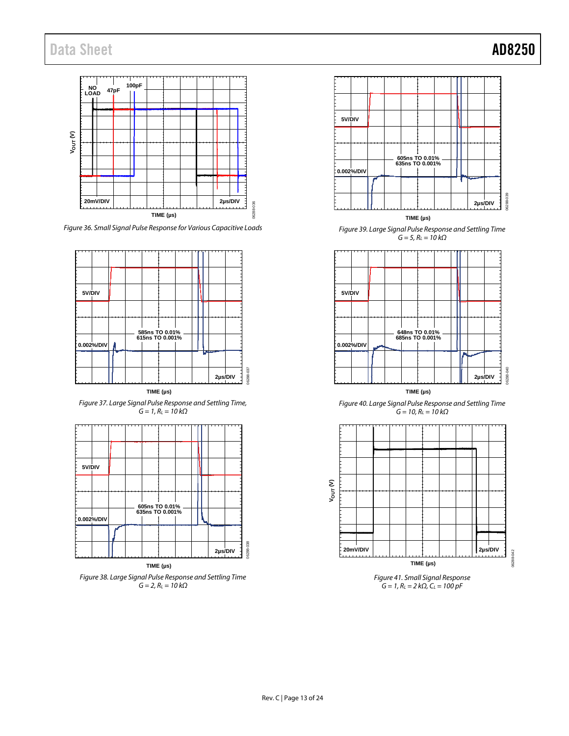

*Figure 36. Small Signal Pulse Response for Various Capacitive Loads*



**TIME (µs)**









*Figure 41. Small Signal Response*  $G = 1, R_L = 2 k\Omega, C_L = 100 pF$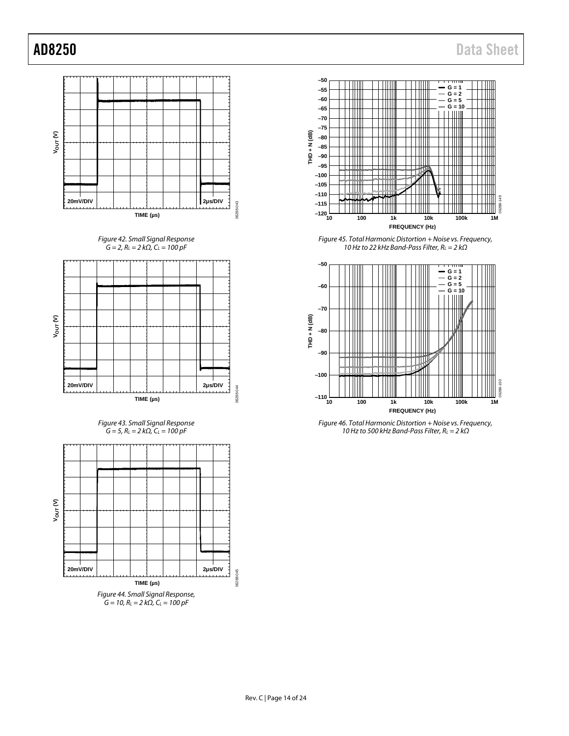











*Figure 45. Total Harmonic Distortion + Noise vs. Frequency, 10 Hz to 22 kHz Band-Pass Filter, RL = 2 kΩ*



*Figure 46. Total Harmonic Distortion + Noise vs. Frequency, 10 Hz to 500 kHz Band-Pass Filter, RL = 2 kΩ*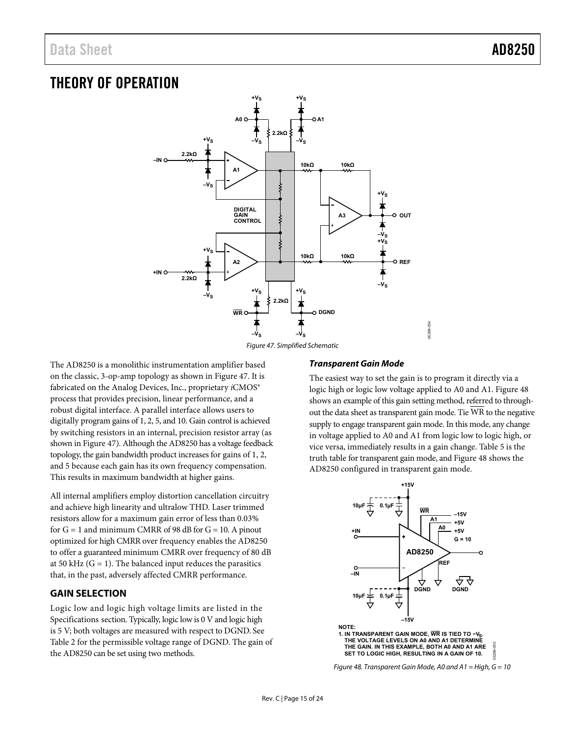## <span id="page-14-0"></span>THEORY OF OPERATION



Figure 47. Simplified Schematic

<span id="page-14-2"></span>The AD8250 is a monolithic instrumentation amplifier based on the classic, 3-op-amp topology as shown in [Figure 47.](#page-14-2) It is fabricated on the Analog Devices, Inc., proprietary *i*CMOS<sup>®</sup> process that provides precision, linear performance, and a robust digital interface. A parallel interface allows users to digitally program gains of 1, 2, 5, and 10. Gain control is achieved by switching resistors in an internal, precision resistor array (as shown i[n Figure 47\)](#page-14-2). Although the AD8250 has a voltage feedback topology, the gain bandwidth product increases for gains of 1, 2, and 5 because each gain has its own frequency compensation. This results in maximum bandwidth at higher gains.

All internal amplifiers employ distortion cancellation circuitry and achieve high linearity and ultralow THD. Laser trimmed resistors allow for a maximum gain error of less than 0.03% for  $G = 1$  and minimum CMRR of 98 dB for  $G = 10$ . A pinout optimized for high CMRR over frequency enables the AD8250 to offer a guaranteed minimum CMRR over frequency of 80 dB at 50 kHz  $(G = 1)$ . The balanced input reduces the parasitics that, in the past, adversely affected CMRR performance.

### <span id="page-14-1"></span>**GAIN SELECTION**

Logic low and logic high voltage limits are listed in the [Specifications s](#page-2-0)ection. Typically, logic low is 0 V and logic high is 5 V; both voltages are measured with respect to DGND. See [Table 2](#page-2-1) for the permissible voltage range of DGND. The gain of the AD8250 can be set using two methods.

#### **Transparent Gain Mode**

The easiest way to set the gain is to program it directly via a logic high or logic low voltage applied to A0 and A1[. Figure 48](#page-14-3)  shows an example of this gain setting method, referred to throughout the data sheet as transparent gain mode. Tie WR to the negative supply to engage transparent gain mode. In this mode, any change in voltage applied to A0 and A1 from logic low to logic high, or vice versa, immediately results in a gain change[. Table 5 i](#page-15-1)s the truth table for transparent gain mode, an[d Figure 48](#page-14-3) shows the AD8250 configured in transparent gain mode.

<span id="page-14-3"></span>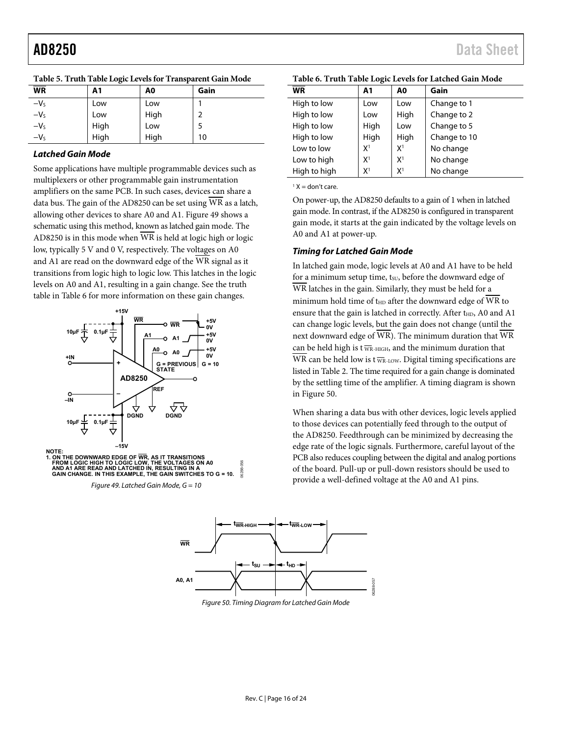<span id="page-15-1"></span>

| Table 5. Truth Table Logic Levels for Transparent Gain Mode |  |  |
|-------------------------------------------------------------|--|--|
|                                                             |  |  |

#### **Latched Gain Mode**

Some applications have multiple programmable devices such as multiplexers or other programmable gain instrumentation amplifiers on the same PCB. In such cases, devices can share a data bus. The gain of the AD8250 can be set using WR as a latch, allowing other devices to share A0 and A1. [Figure 49 s](#page-15-2)hows a schematic using this method, known as latched gain mode. The AD8250 is in this mode when WR is held at logic high or logic low, typically 5 V and 0 V, respectively. The voltages on A0 and A1 are read on the downward edge of the WR signal as it transitions from logic high to logic low. This latches in the logic levels on A0 and A1, resulting in a gain change. See the truth table i[n Table 6 f](#page-15-3)or more information on these gain changes.



<span id="page-15-2"></span>**NOTE:** 1. ON THE DOWNWARD EDGE OF WR, AS IT TRANSITIONS<br>FROM LOGIC HIGH TO LOGIC LOW, THE VOLTAGES ON A0<br>AND A1 ARE READ AND LATCHED IN, RESULTING IN A<br>GAIN CHANGE. IN THIS EXAMPLE, THE GAIN SWITCHES TO G = 10. 06288-056 6288

<span id="page-15-4"></span>Figure 49. Latched Gain Mode,  $G = 10$ 

| <b>WR</b>    | A1             | A0             | Gain         |
|--------------|----------------|----------------|--------------|
| High to low  | Low            | Low            | Change to 1  |
| High to low  | Low            | High           | Change to 2  |
| High to low  | High           | Low            | Change to 5  |
| High to low  | High           | High           | Change to 10 |
| Low to low   | X <sup>1</sup> | X <sup>1</sup> | No change    |
| Low to high  | X <sup>1</sup> | X <sup>1</sup> | No change    |
| High to high | $X^1$          | X <sup>1</sup> | No change    |

<span id="page-15-3"></span>**Table 6. Truth Table Logic Levels for Latched Gain Mode** 

 $1 X =$  don't care.

On power-up, the AD8250 defaults to a gain of 1 when in latched gain mode. In contrast, if the AD8250 is configured in transparent gain mode, it starts at the gain indicated by the voltage levels on A0 and A1 at power-up.

#### <span id="page-15-0"></span>**Timing for Latched Gain Mode**

In latched gain mode, logic levels at A0 and A1 have to be held for a minimum setup time, tsu, before the downward edge of WR latches in the gain. Similarly, they must be held for a minimum hold time of  $t_{HD}$  after the downward edge of  $\overline{WR}$  to ensure that the gain is latched in correctly. After  $t_{HD}$ , A0 and A1 can change logic levels, but the gain does not change (until the next downward edge of WR). The minimum duration that WR can be held high is t  $\overline{w}$ R-HIGH, and the minimum duration that WR can be held low is  $t\bar{w}_{R\text{-LOW}}$ . Digital timing specifications are listed i[n Table 2. T](#page-2-1)he time required for a gain change is dominated by the settling time of the amplifier. A timing diagram is shown in [Figure 50.](#page-15-4) 

When sharing a data bus with other devices, logic levels applied to those devices can potentially feed through to the output of the AD8250. Feedthrough can be minimized by decreasing the edge rate of the logic signals. Furthermore, careful layout of the PCB also reduces coupling between the digital and analog portions of the board. Pull-up or pull-down resistors should be used to provide a well-defined voltage at the A0 and A1 pins.



Figure 50. Timing Diagram for Latched Gain Mode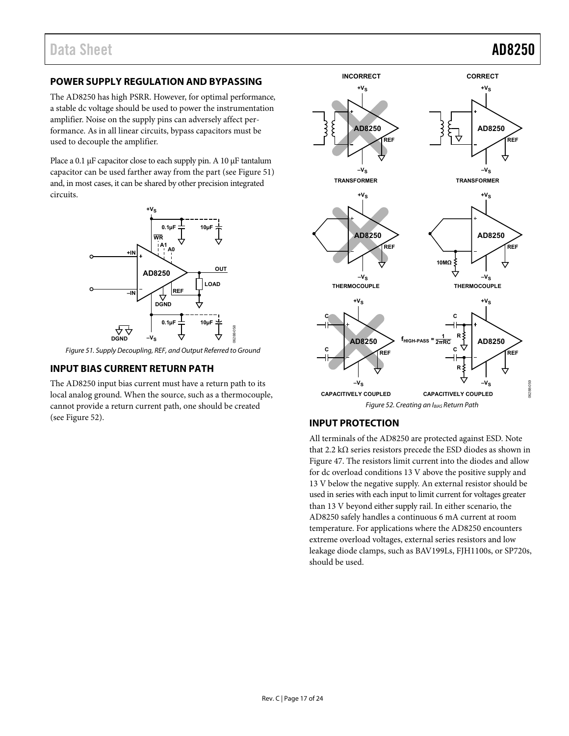### <span id="page-16-0"></span>**POWER SUPPLY REGULATION AND BYPASSING**

The AD8250 has high PSRR. However, for optimal performance, a stable dc voltage should be used to power the instrumentation amplifier. Noise on the supply pins can adversely affect performance. As in all linear circuits, bypass capacitors must be used to decouple the amplifier.

Place a 0.1 μF capacitor close to each supply pin. A 10 μF tantalum capacitor can be used farther away from the part (se[e Figure 51\)](#page-16-3) and, in most cases, it can be shared by other precision integrated circuits.



<span id="page-16-3"></span>Figure 51. Supply Decoupling, REF, and Output Referred to Ground

### <span id="page-16-1"></span>**INPUT BIAS CURRENT RETURN PATH**

The AD8250 input bias current must have a return path to its local analog ground. When the source, such as a thermocouple, cannot provide a return current path, one should be created (see [Figure 52\)](#page-16-4).



### <span id="page-16-4"></span><span id="page-16-2"></span>**INPUT PROTECTION**

All terminals of the AD8250 are protected against ESD. Note that 2.2 kΩ series resistors precede the ESD diodes as shown in [Figure 47.](#page-14-2) The resistors limit current into the diodes and allow for dc overload conditions 13 V above the positive supply and 13 V below the negative supply. An external resistor should be used in series with each input to limit current for voltages greater than 13 V beyond either supply rail. In either scenario, the AD8250 safely handles a continuous 6 mA current at room temperature. For applications where the AD8250 encounters extreme overload voltages, external series resistors and low leakage diode clamps, such as BAV199Ls, FJH1100s, or SP720s, should be used.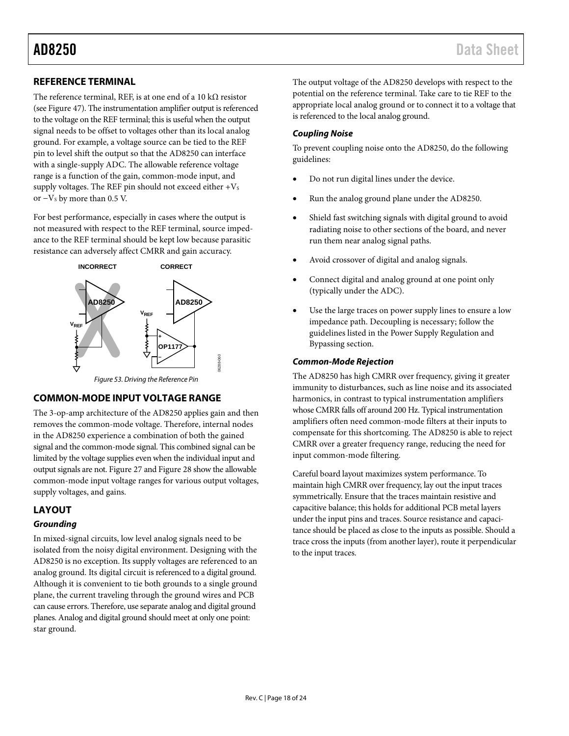### <span id="page-17-0"></span>**REFERENCE TERMINAL**

The reference terminal, REF, is at one end of a 10 k $\Omega$  resistor (see [Figure 47\)](#page-14-2). The instrumentation amplifier output is referenced to the voltage on the REF terminal; this is useful when the output signal needs to be offset to voltages other than its local analog ground. For example, a voltage source can be tied to the REF pin to level shift the output so that the AD8250 can interface with a single-supply ADC. The allowable reference voltage range is a function of the gain, common-mode input, and supply voltages. The REF pin should not exceed either  $+V_s$ or  $-V$ s by more than 0.5 V.

For best performance, especially in cases where the output is not measured with respect to the REF terminal, source impedance to the REF terminal should be kept low because parasitic resistance can adversely affect CMRR and gain accuracy.



*Figure 53. Driving the Reference Pin*

### <span id="page-17-1"></span>**COMMON-MODE INPUT VOLTAGE RANGE**

The 3-op-amp architecture of the AD8250 applies gain and then removes the common-mode voltage. Therefore, internal nodes in the AD8250 experience a combination of both the gained signal and the common-mode signal. This combined signal can be limited by the voltage supplies even when the individual input and output signals are not[. Figure 27](#page-10-0) an[d Figure 28](#page-10-1) show the allowable common-mode input voltage ranges for various output voltages, supply voltages, and gains.

### <span id="page-17-2"></span>**LAYOUT**

#### *Grounding*

In mixed-signal circuits, low level analog signals need to be isolated from the noisy digital environment. Designing with the AD8250 is no exception. Its supply voltages are referenced to an analog ground. Its digital circuit is referenced to a digital ground. Although it is convenient to tie both grounds to a single ground plane, the current traveling through the ground wires and PCB can cause errors. Therefore, use separate analog and digital ground planes. Analog and digital ground should meet at only one point: star ground.

The output voltage of the AD8250 develops with respect to the potential on the reference terminal. Take care to tie REF to the appropriate local analog ground or to connect it to a voltage that is referenced to the local analog ground.

#### *Coupling Noise*

To prevent coupling noise onto the AD8250, do the following guidelines:

- Do not run digital lines under the device.
- Run the analog ground plane under the AD8250.
- Shield fast switching signals with digital ground to avoid radiating noise to other sections of the board, and never run them near analog signal paths.
- Avoid crossover of digital and analog signals.
- Connect digital and analog ground at one point only (typically under the ADC).
- Use the large traces on power supply lines to ensure a low impedance path. Decoupling is necessary; follow the guidelines listed in th[e Power Supply Regulation and](#page-16-0)  [Bypassing](#page-16-0) section.

#### *Common-Mode Rejection*

The AD8250 has high CMRR over frequency, giving it greater immunity to disturbances, such as line noise and its associated harmonics, in contrast to typical instrumentation amplifiers whose CMRR falls off around 200 Hz. Typical instrumentation amplifiers often need common-mode filters at their inputs to compensate for this shortcoming. The AD8250 is able to reject CMRR over a greater frequency range, reducing the need for input common-mode filtering.

Careful board layout maximizes system performance. To maintain high CMRR over frequency, lay out the input traces symmetrically. Ensure that the traces maintain resistive and capacitive balance; this holds for additional PCB metal layers under the input pins and traces. Source resistance and capacitance should be placed as close to the inputs as possible. Should a trace cross the inputs (from another layer), route it perpendicular to the input traces.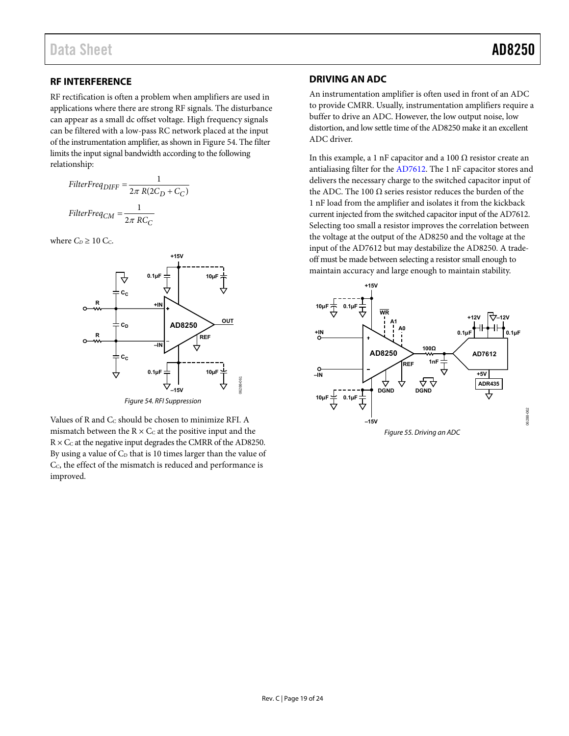### <span id="page-18-0"></span>**RF INTERFERENCE**

RF rectification is often a problem when amplifiers are used in applications where there are strong RF signals. The disturbance can appear as a small dc offset voltage. High frequency signals can be filtered with a low-pass RC network placed at the input of the instrumentation amplifier, as shown i[n Figure 54.](#page-18-2) The filter limits the input signal bandwidth according to the following relationship:

$$
FilterFreq_{DIFF} = \frac{1}{2\pi R(2C_D + C_C)}
$$

$$
FilterFreq_{CM} = \frac{1}{2\pi RC_C}
$$

where  $C_D \geq 10$  C<sub>c</sub>.



Figure 54. RFI Suppression

<span id="page-18-2"></span>Values of R and  $C_C$  should be chosen to minimize RFI. A mismatch between the  $R \times C_C$  at the positive input and the  $R \times C_C$  at the negative input degrades the CMRR of the AD8250. By using a value of  $C_D$  that is 10 times larger than the value of C<sub>C</sub>, the effect of the mismatch is reduced and performance is improved.

### <span id="page-18-1"></span>**DRIVING AN ADC**

An instrumentation amplifier is often used in front of an ADC to provide CMRR. Usually, instrumentation amplifiers require a buffer to drive an ADC. However, the low output noise, low distortion, and low settle time of the AD8250 make it an excellent ADC driver.

In this example, a 1 nF capacitor and a 100  $Ω$  resistor create an antialiasing filter for th[e AD7612.](http://www.analog.com/AD7612) The 1 nF capacitor stores and delivers the necessary charge to the switched capacitor input of the ADC. The 100  $Ω$  series resistor reduces the burden of the 1 nF load from the amplifier and isolates it from the kickback current injected from the switched capacitor input of th[e AD7612.](http://www.analog.com/AD7612)  Selecting too small a resistor improves the correlation between the voltage at the output of the AD8250 and the voltage at the input of th[e AD7612](http://www.analog.com/AD7612) but may destabilize the AD8250. A tradeoff must be made between selecting a resistor small enough to maintain accuracy and large enough to maintain stability.

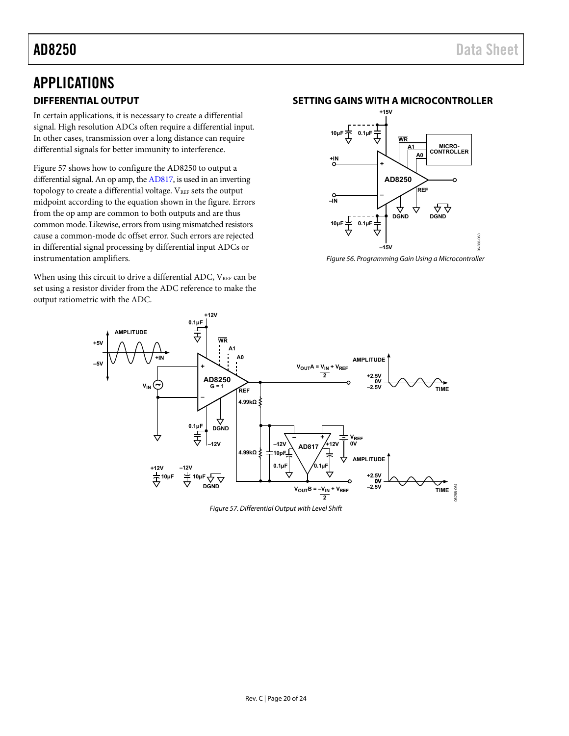## <span id="page-19-1"></span><span id="page-19-0"></span>APPLICATIONS **DIFFERENTIAL OUTPUT**

In certain applications, it is necessary to create a differential signal. High resolution ADCs often require a differential input. In other cases, transmission over a long distance can require differential signals for better immunity to interference.

[Figure 57 s](#page-19-3)hows how to configure the AD8250 to output a differential signal. An op amp, th[e AD817,](http://www.analog.com/AD817) is used in an inverting topology to create a differential voltage.  $V_{REF}$  sets the output midpoint according to the equation shown in the figure. Errors from the op amp are common to both outputs and are thus common mode. Likewise, errors from using mismatched resistors cause a common-mode dc offset error. Such errors are rejected in differential signal processing by differential input ADCs or instrumentation amplifiers.

When using this circuit to drive a differential ADC,  $V_{REF}$  can be set using a resistor divider from the ADC reference to make the output ratiometric with the ADC.

#### <span id="page-19-2"></span>**SETTING GAINS WITH A MICROCONTROLLER**



Figure 56. Programming Gain Using a Microcontroller



<span id="page-19-3"></span>Figure 57. Differential Output with Level Shift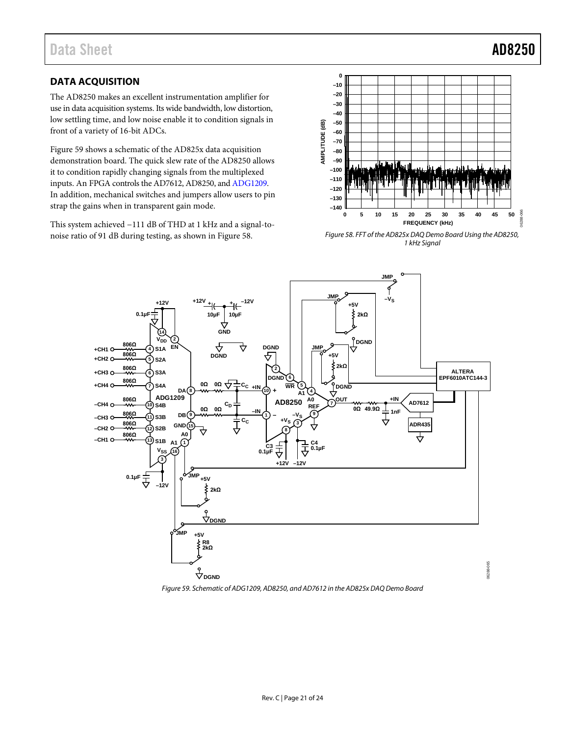### <span id="page-20-0"></span>**DATA ACQUISITION**

The AD8250 makes an excellent instrumentation amplifier for use in data acquisition systems. Its wide bandwidth, low distortion, low settling time, and low noise enable it to condition signals in front of a variety of 16-bit ADCs.

[Figure 59](#page-20-1) shows a schematic of the AD825x data acquisition demonstration board. The quick slew rate of the AD8250 allows it to condition rapidly changing signals from the multiplexed inputs. An FPGA controls th[e AD7612,](http://www.analog.com/AD7612) AD8250, an[d ADG1209.](http://www.analog.com/ADG1209)  In addition, mechanical switches and jumpers allow users to pin strap the gains when in transparent gain mode.

This system achieved −111 dB of THD at 1 kHz and a signal-tonoise ratio of 91 dB during testing, as shown i[n Figure 58.](#page-20-2) 



<span id="page-20-2"></span>*Figure 58. FFT of the AD825x DAQ Demo Board Using the AD8250, 1 kHz Signal*



<span id="page-20-1"></span>*Figure 59. Schematic o[f ADG1209,](http://www.analog.com/ADG1209) AD8250, an[d AD7612](http://www.analog.com/AD7612) in the AD825x DAQ Demo Board*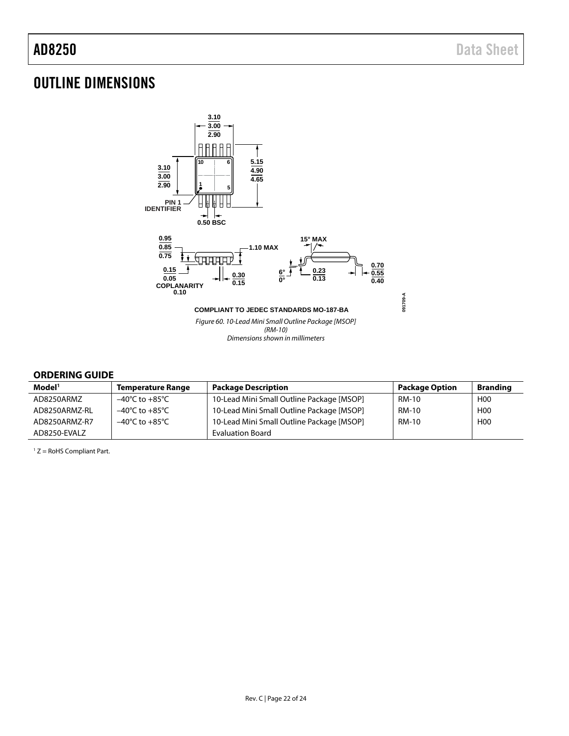## <span id="page-21-0"></span>OUTLINE DIMENSIONS



#### <span id="page-21-1"></span>**ORDERING GUIDE**

| Model <sup>1</sup> | <b>Temperature Range</b>           | <b>Package Description</b>                | <b>Package Option</b> | <b>Branding</b> |
|--------------------|------------------------------------|-------------------------------------------|-----------------------|-----------------|
| AD8250ARMZ         | –40°C to +85°C                     | 10-Lead Mini Small Outline Package [MSOP] | RM-10                 | H <sub>0</sub>  |
| AD8250ARMZ-RL      | $-40^{\circ}$ C to $+85^{\circ}$ C | 10-Lead Mini Small Outline Package [MSOP] | RM-10                 | H <sub>00</sub> |
| AD8250ARMZ-R7      | $-40^{\circ}$ C to $+85^{\circ}$ C | 10-Lead Mini Small Outline Package [MSOP] | <b>RM-10</b>          | H <sub>0</sub>  |
| AD8250-EVALZ       |                                    | <b>Evaluation Board</b>                   |                       |                 |

1 Z = RoHS Compliant Part.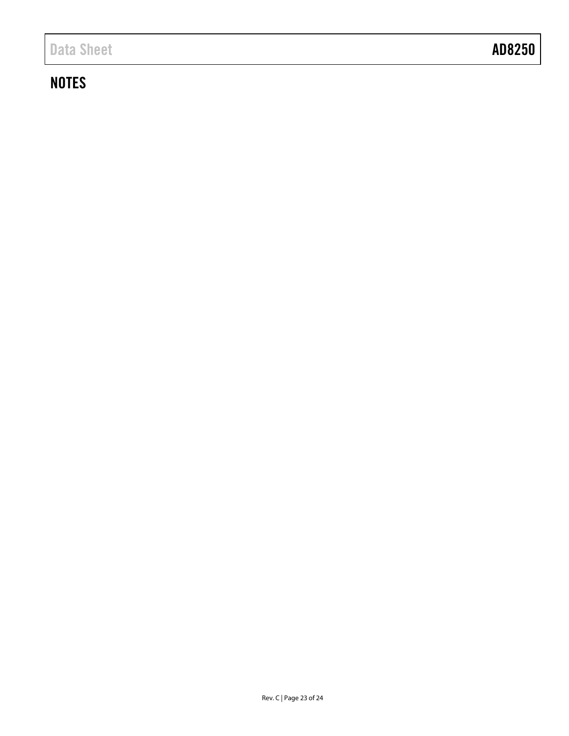# **NOTES**